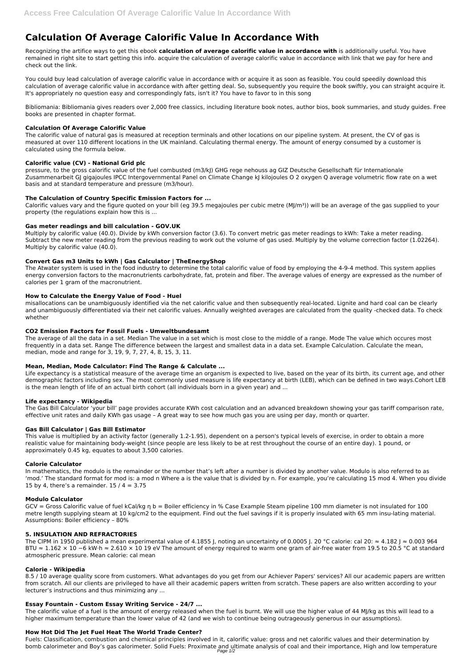# **Calculation Of Average Calorific Value In Accordance With**

Recognizing the artifice ways to get this ebook **calculation of average calorific value in accordance with** is additionally useful. You have remained in right site to start getting this info. acquire the calculation of average calorific value in accordance with link that we pay for here and check out the link.

You could buy lead calculation of average calorific value in accordance with or acquire it as soon as feasible. You could speedily download this calculation of average calorific value in accordance with after getting deal. So, subsequently you require the book swiftly, you can straight acquire it. It's appropriately no question easy and correspondingly fats, isn't it? You have to favor to in this song

pressure, to the gross calorific value of the fuel combusted (m3/kJ) GHG rege nehouss ag GIZ Deutsche Gesellschaft für Internationale Zusammenarbeit GJ gigajoules IPCC Intergovernmental Panel on Climate Change kJ kilojoules O 2 oxygen Q average volumetric flow rate on a wet basis and at standard temperature and pressure (m3/hour).

Bibliomania: Bibliomania gives readers over 2,000 free classics, including literature book notes, author bios, book summaries, and study guides. Free books are presented in chapter format.

Calorific values vary and the figure quoted on your bill (eg 39.5 megajoules per cubic metre (MJ/m<sup>3</sup>)) will be an average of the gas supplied to your property (the regulations explain how this is ...

## **Calculation Of Average Calorific Value**

The calorific value of natural gas is measured at reception terminals and other locations on our pipeline system. At present, the CV of gas is measured at over 110 different locations in the UK mainland. Calculating thermal energy. The amount of energy consumed by a customer is calculated using the formula below.

# **Calorific value (CV) - National Grid plc**

## **The Calculation of Country Specific Emission Factors for ...**

Life expectancy is a statistical measure of the average time an organism is expected to live, based on the year of its birth, its current age, and other demographic factors including sex. The most commonly used measure is life expectancy at birth (LEB), which can be defined in two ways.Cohort LEB is the mean length of life of an actual birth cohort (all individuals born in a given year) and ...

### **Gas meter readings and bill calculation - GOV.UK**

Multiply by calorific value (40.0). Divide by kWh conversion factor (3.6). To convert metric gas meter readings to kWh: Take a meter reading. Subtract the new meter reading from the previous reading to work out the volume of gas used. Multiply by the volume correction factor (1.02264). Multiply by calorific value (40.0).

In mathematics, the modulo is the remainder or the number that's left after a number is divided by another value. Modulo is also referred to as 'mod.' The standard format for mod is: a mod n Where a is the value that is divided by n. For example, you're calculating 15 mod 4. When you divide 15 by 4, there's a remainder.  $15 / 4 = 3.75$ 

# **Convert Gas m3 Units to kWh | Gas Calculator | TheEnergyShop**

The Atwater system is used in the food industry to determine the total calorific value of food by employing the 4-9-4 method. This system applies energy conversion factors to the macronutrients carbohydrate, fat, protein and fiber. The average values of energy are expressed as the number of calories per 1 gram of the macronutrient.

## **How to Calculate the Energy Value of Food - Huel**

The CIPM in 1950 published a mean experimental value of 4.1855 J, noting an uncertainty of 0.0005 J. 20 °C calorie: cal 20:  $\approx 4.182$  J  $\approx 0.003$  964 BTU ≈ 1.162 × 10 –6 kW⋅h ≈ 2.610 × 10 19 eV The amount of energy required to warm one gram of air-free water from 19.5 to 20.5 °C at standard atmospheric pressure. Mean calorie: cal mean

misallocations can be unambiguously identified via the net calorific value and then subsequently real-located. Lignite and hard coal can be clearly and unambiguously differentiated via their net calorific values. Annually weighted averages are calculated from the quality -checked data. To check whether

# **CO2 Emission Factors for Fossil Fuels - Umweltbundesamt**

The average of all the data in a set. Median The value in a set which is most close to the middle of a range. Mode The value which occures most frequently in a data set. Range The difference between the largest and smallest data in a data set. Example Calculation. Calculate the mean, median, mode and range for 3, 19, 9, 7, 27, 4, 8, 15, 3, 11.

# **Mean, Median, Mode Calculator: Find The Range & Calculate ...**

# **Life expectancy - Wikipedia**

The Gas Bill Calculator 'your bill' page provides accurate KWh cost calculation and an advanced breakdown showing your gas tariff comparison rate, effective unit rates and daily KWh gas usage – A great way to see how much gas you are using per day, month or quarter.

### **Gas Bill Calculator | Gas Bill Estimator**

This value is multiplied by an activity factor (generally 1.2-1.95), dependent on a person's typical levels of exercise, in order to obtain a more realistic value for maintaining body-weight (since people are less likely to be at rest throughout the course of an entire day). 1 pound, or approximately 0.45 kg, equates to about 3,500 calories.

### **Calorie Calculator**

### **Modulo Calculator**

GCV = Gross Calorific value of fuel kCal/kg η b = Boiler efficiency in % Case Example Steam pipeline 100 mm diameter is not insulated for 100 metre length supplying steam at 10 kg/cm2 to the equipment. Find out the fuel savings if it is properly insulated with 65 mm insu-lating material. Assumptions: Boiler efficiency – 80%

## **5. INSULATION AND REFRACTORIES**

#### **Calorie - Wikipedia**

8.5 / 10 average quality score from customers. What advantages do you get from our Achiever Papers' services? All our academic papers are written from scratch. All our clients are privileged to have all their academic papers written from scratch. These papers are also written according to your lecturer's instructions and thus minimizing any ...

## **Essay Fountain - Custom Essay Writing Service - 24/7 ...**

The calorific value of a fuel is the amount of energy released when the fuel is burnt. We will use the higher value of 44 MJ/kg as this will lead to a higher maximum temperature than the lower value of 42 (and we wish to continue being outrageously generous in our assumptions).

### **How Hot Did The Jet Fuel Heat The World Trade Center?**

Fuels: Classification, combustion and chemical principles involved in it, calorific value: gross and net calorific values and their determination by bomb calorimeter and Boy's gas calorimeter. Solid Fuels: Proximate and ultimate analysis of coal and their importance, High and low temperature Page 1/2